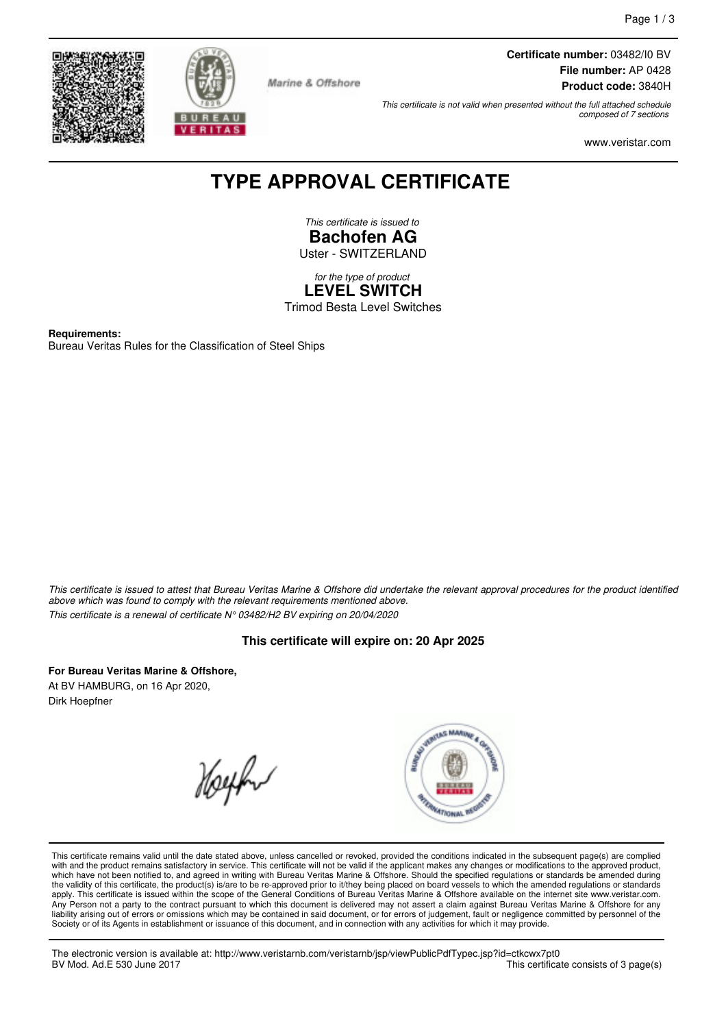



Marine & Offshore

**Certificate number:** 03482/I0 BV **File number:** AP 0428 **Product code:** 3840H

This certificate is not valid when presented without the full attached schedule composed of 7 sections

www.veristar.com

# **TYPE APPROVAL CERTIFICATE**

This certificate is issued to **Bachofen AG** Uster - SWITZERLAND

for the type of product **LEVEL SWITCH** Trimod Besta Level Switches

**Requirements:** Bureau Veritas Rules for the Classification of Steel Ships

This certificate is issued to attest that Bureau Veritas Marine & Offshore did undertake the relevant approval procedures for the product identified above which was found to comply with the relevant requirements mentioned above. This certificate is a renewal of certificate N° 03482/H2 BV expiring on 20/04/2020

### **This certificate will expire on: 20 Apr 2025**

**For Bureau Veritas Marine & Offshore,** At BV HAMBURG, on 16 Apr 2020, Dirk Hoepfner

Hoephy



This certificate remains valid until the date stated above, unless cancelled or revoked, provided the conditions indicated in the subsequent page(s) are complied with and the product remains satisfactory in service. This certificate will not be valid if the applicant makes any changes or modifications to the approved product, which have not been notified to, and agreed in writing with Bureau Veritas Marine & Offshore. Should the specified regulations or standards be amended during<br>the validity of this certificate, the product(s) is/are to be re Any Person not a party to the contract pursuant to which this document is delivered may not assert a claim against Bureau Veritas Marine & Offshore for any liability arising out of errors or omissions which may be contained in said document, or for errors of judgement, fault or negligence committed by personnel of the Society or of its Agents in establishment or issuance of this document, and in connection with any activities for which it may provide.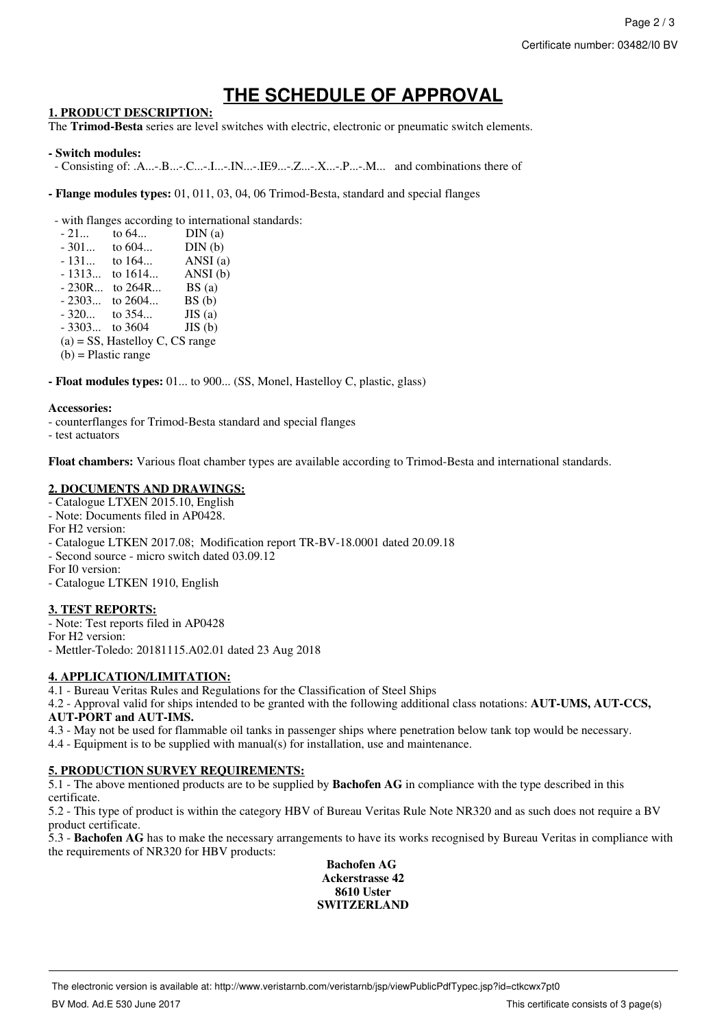# **THE SCHEDULE OF APPROVAL**

### **1. PRODUCT DESCRIPTION:**

The **Trimod-Besta** series are level switches with electric, electronic or pneumatic switch elements.

#### **- Switch modules:**

- Consisting of: .A...-.B...-.C...-.I...-.IN...-.IE9...-.Z...-.X...-.P...-.M... and combinations there of
- **Flange modules types:** 01, 011, 03, 04, 06 Trimod-Besta, standard and special flanges

- with flanges according to international standards:

| $-21$                                                                                        | to 64    | DIN(a)  |
|----------------------------------------------------------------------------------------------|----------|---------|
| $-301$                                                                                       | to $604$ | DIN(b)  |
| $-131$                                                                                       | to $164$ | ANSI(a) |
| $-1313$                                                                                      | to 1614  | ANSI(b) |
| $-230R$                                                                                      | to 264R  | BS(a)   |
| $-2303$                                                                                      | to 2604  | BS(b)   |
| $-320$                                                                                       | to 354   | JIS(a)  |
| $-3303$                                                                                      | to 3604  | JIS(b)  |
| $(a)$ = SS, Hastelloy C, CS range                                                            |          |         |
| $(1.5 \cdot \mathbf{M} \cdot \mathbf{M} \cdot \mathbf{M} \cdot \mathbf{M} \cdot \mathbf{M})$ |          |         |

(b) = Plastic range

**- Float modules types:** 01... to 900... (SS, Monel, Hastelloy C, plastic, glass)

#### **Accessories:**

- counterflanges for Trimod-Besta standard and special flanges

- test actuators

**Float chambers:** Various float chamber types are available according to Trimod-Besta and international standards.

#### **2. DOCUMENTS AND DRAWINGS:**

- Catalogue LTXEN 2015.10, English
- Note: Documents filed in AP0428.
- For H2 version:
- Catalogue LTKEN 2017.08; Modification report TR-BV-18.0001 dated 20.09.18
- Second source micro switch dated 03.09.12
- For I0 version:
- Catalogue LTKEN 1910, English

### **3. TEST REPORTS:**

- Note: Test reports filed in AP0428 For H2 version: - Mettler-Toledo: 20181115.A02.01 dated 23 Aug 2018

### **4. APPLICATION/LIMITATION:**

4.1 - Bureau Veritas Rules and Regulations for the Classification of Steel Ships

4.2 - Approval valid for ships intended to be granted with the following additional class notations: **AUT-UMS, AUT-CCS, AUT-PORT and AUT-IMS.**

4.3 - May not be used for flammable oil tanks in passenger ships where penetration below tank top would be necessary.

4.4 - Equipment is to be supplied with manual(s) for installation, use and maintenance.

### **5. PRODUCTION SURVEY REQUIREMENTS:**

5.1 - The above mentioned products are to be supplied by **Bachofen AG** in compliance with the type described in this certificate.

5.2 - This type of product is within the category HBV of Bureau Veritas Rule Note NR320 and as such does not require a BV product certificate.

5.3 - **Bachofen AG** has to make the necessary arrangements to have its works recognised by Bureau Veritas in compliance with the requirements of NR320 for HBV products:

#### **Bachofen AG Ackerstrasse 42 8610 Uster SWITZERLAND**